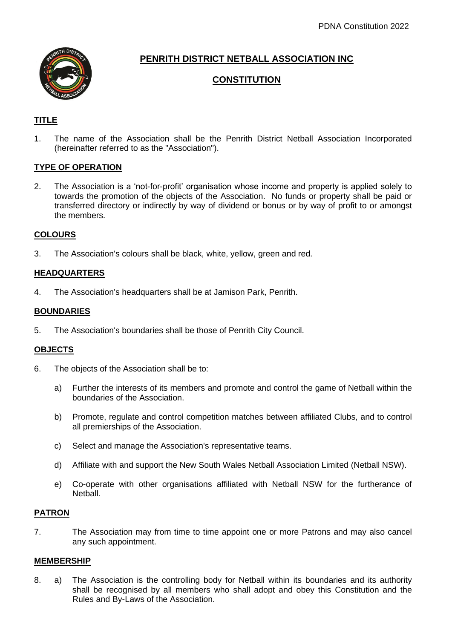

# **PENRITH DISTRICT NETBALL ASSOCIATION INC**

# **CONSTITUTION**

# **TITLE**

1. The name of the Association shall be the Penrith District Netball Association Incorporated (hereinafter referred to as the "Association").

## **TYPE OF OPERATION**

2. The Association is a 'not-for-profit' organisation whose income and property is applied solely to towards the promotion of the objects of the Association. No funds or property shall be paid or transferred directory or indirectly by way of dividend or bonus or by way of profit to or amongst the members.

## **COLOURS**

3. The Association's colours shall be black, white, yellow, green and red.

## **HEADQUARTERS**

4. The Association's headquarters shall be at Jamison Park, Penrith.

## **BOUNDARIES**

5. The Association's boundaries shall be those of Penrith City Council.

## **OBJECTS**

- 6. The objects of the Association shall be to:
	- a) Further the interests of its members and promote and control the game of Netball within the boundaries of the Association.
	- b) Promote, regulate and control competition matches between affiliated Clubs, and to control all premierships of the Association.
	- c) Select and manage the Association's representative teams.
	- d) Affiliate with and support the New South Wales Netball Association Limited (Netball NSW).
	- e) Co-operate with other organisations affiliated with Netball NSW for the furtherance of Netball.

## **PATRON**

7. The Association may from time to time appoint one or more Patrons and may also cancel any such appointment.

## **MEMBERSHIP**

8. a) The Association is the controlling body for Netball within its boundaries and its authority shall be recognised by all members who shall adopt and obey this Constitution and the Rules and By-Laws of the Association.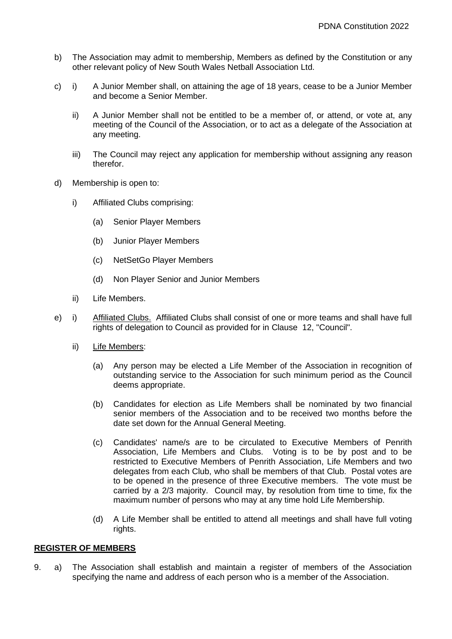- b) The Association may admit to membership, Members as defined by the Constitution or any other relevant policy of New South Wales Netball Association Ltd.
- c) i) A Junior Member shall, on attaining the age of 18 years, cease to be a Junior Member and become a Senior Member.
	- ii) A Junior Member shall not be entitled to be a member of, or attend, or vote at, any meeting of the Council of the Association, or to act as a delegate of the Association at any meeting.
	- iii) The Council may reject any application for membership without assigning any reason therefor.
- d) Membership is open to:
	- i) Affiliated Clubs comprising:
		- (a) Senior Player Members
		- (b) Junior Player Members
		- (c) NetSetGo Player Members
		- (d) Non Player Senior and Junior Members
	- ii) Life Members.
- e) i) Affiliated Clubs. Affiliated Clubs shall consist of one or more teams and shall have full rights of delegation to Council as provided for in Clause 12, "Council".
	- ii) Life Members:
		- (a) Any person may be elected a Life Member of the Association in recognition of outstanding service to the Association for such minimum period as the Council deems appropriate.
		- (b) Candidates for election as Life Members shall be nominated by two financial senior members of the Association and to be received two months before the date set down for the Annual General Meeting.
		- (c) Candidates' name/s are to be circulated to Executive Members of Penrith Association, Life Members and Clubs. Voting is to be by post and to be restricted to Executive Members of Penrith Association, Life Members and two delegates from each Club, who shall be members of that Club. Postal votes are to be opened in the presence of three Executive members. The vote must be carried by a 2/3 majority. Council may, by resolution from time to time, fix the maximum number of persons who may at any time hold Life Membership.
		- (d) A Life Member shall be entitled to attend all meetings and shall have full voting rights.

#### **REGISTER OF MEMBERS**

9. a) The Association shall establish and maintain a register of members of the Association specifying the name and address of each person who is a member of the Association.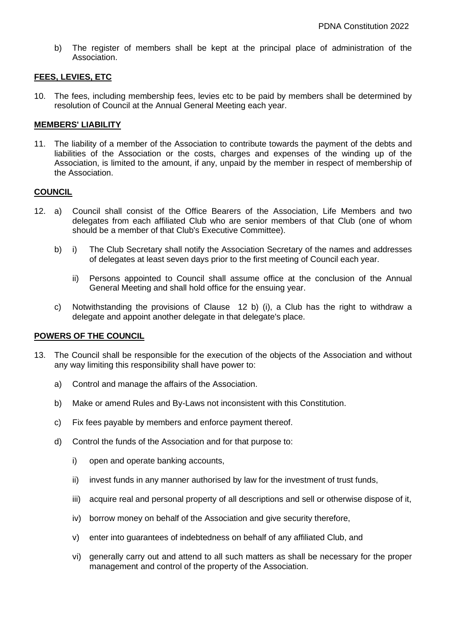b) The register of members shall be kept at the principal place of administration of the Association.

### **FEES, LEVIES, ETC**

10. The fees, including membership fees, levies etc to be paid by members shall be determined by resolution of Council at the Annual General Meeting each year.

#### **MEMBERS' LIABILITY**

11. The liability of a member of the Association to contribute towards the payment of the debts and liabilities of the Association or the costs, charges and expenses of the winding up of the Association, is limited to the amount, if any, unpaid by the member in respect of membership of the Association.

#### **COUNCIL**

- 12. a) Council shall consist of the Office Bearers of the Association, Life Members and two delegates from each affiliated Club who are senior members of that Club (one of whom should be a member of that Club's Executive Committee).
	- b) i) The Club Secretary shall notify the Association Secretary of the names and addresses of delegates at least seven days prior to the first meeting of Council each year.
		- ii) Persons appointed to Council shall assume office at the conclusion of the Annual General Meeting and shall hold office for the ensuing year.
	- c) Notwithstanding the provisions of Clause 12 b) (i), a Club has the right to withdraw a delegate and appoint another delegate in that delegate's place.

## **POWERS OF THE COUNCIL**

- 13. The Council shall be responsible for the execution of the objects of the Association and without any way limiting this responsibility shall have power to:
	- a) Control and manage the affairs of the Association.
	- b) Make or amend Rules and By-Laws not inconsistent with this Constitution.
	- c) Fix fees payable by members and enforce payment thereof.
	- d) Control the funds of the Association and for that purpose to:
		- i) open and operate banking accounts,
		- ii) invest funds in any manner authorised by law for the investment of trust funds,
		- iii) acquire real and personal property of all descriptions and sell or otherwise dispose of it,
		- iv) borrow money on behalf of the Association and give security therefore,
		- v) enter into guarantees of indebtedness on behalf of any affiliated Club, and
		- vi) generally carry out and attend to all such matters as shall be necessary for the proper management and control of the property of the Association.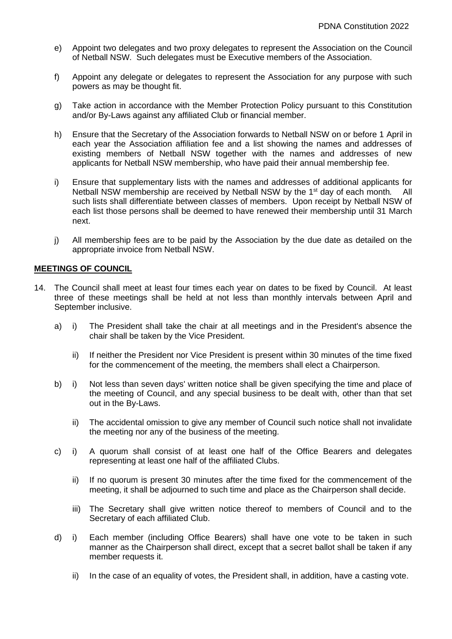- e) Appoint two delegates and two proxy delegates to represent the Association on the Council of Netball NSW. Such delegates must be Executive members of the Association.
- f) Appoint any delegate or delegates to represent the Association for any purpose with such powers as may be thought fit.
- g) Take action in accordance with the Member Protection Policy pursuant to this Constitution and/or By-Laws against any affiliated Club or financial member.
- h) Ensure that the Secretary of the Association forwards to Netball NSW on or before 1 April in each year the Association affiliation fee and a list showing the names and addresses of existing members of Netball NSW together with the names and addresses of new applicants for Netball NSW membership, who have paid their annual membership fee.
- i) Ensure that supplementary lists with the names and addresses of additional applicants for Netball NSW membership are received by Netball NSW by the 1st day of each month*.* All such lists shall differentiate between classes of members. Upon receipt by Netball NSW of each list those persons shall be deemed to have renewed their membership until 31 March next.
- j) All membership fees are to be paid by the Association by the due date as detailed on the appropriate invoice from Netball NSW.

#### **MEETINGS OF COUNCIL**

- 14. The Council shall meet at least four times each year on dates to be fixed by Council. At least three of these meetings shall be held at not less than monthly intervals between April and September inclusive.
	- a) i) The President shall take the chair at all meetings and in the President's absence the chair shall be taken by the Vice President.
		- ii) If neither the President nor Vice President is present within 30 minutes of the time fixed for the commencement of the meeting, the members shall elect a Chairperson.
	- b) i) Not less than seven days' written notice shall be given specifying the time and place of the meeting of Council, and any special business to be dealt with, other than that set out in the By-Laws.
		- ii) The accidental omission to give any member of Council such notice shall not invalidate the meeting nor any of the business of the meeting.
	- c) i) A quorum shall consist of at least one half of the Office Bearers and delegates representing at least one half of the affiliated Clubs.
		- ii) If no quorum is present 30 minutes after the time fixed for the commencement of the meeting, it shall be adjourned to such time and place as the Chairperson shall decide.
		- iii) The Secretary shall give written notice thereof to members of Council and to the Secretary of each affiliated Club.
	- d) i) Each member (including Office Bearers) shall have one vote to be taken in such manner as the Chairperson shall direct, except that a secret ballot shall be taken if any member requests it.
		- ii) In the case of an equality of votes, the President shall, in addition, have a casting vote.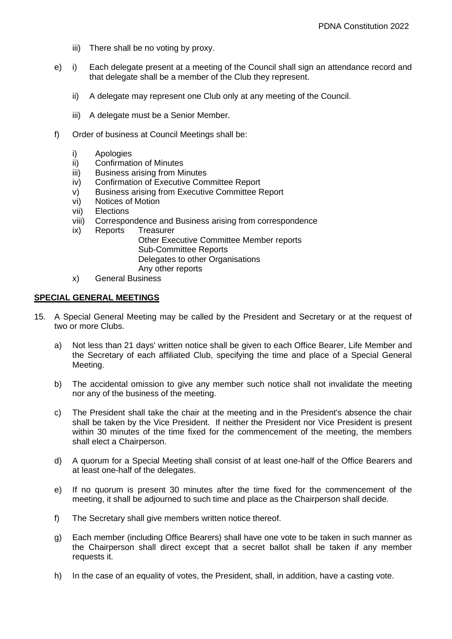- iii) There shall be no voting by proxy.
- e) i) Each delegate present at a meeting of the Council shall sign an attendance record and that delegate shall be a member of the Club they represent.
	- ii) A delegate may represent one Club only at any meeting of the Council.
	- iii) A delegate must be a Senior Member.
- f) Order of business at Council Meetings shall be:
	- i) Apologies
	- ii) Confirmation of Minutes
	- iii) Business arising from Minutes
	- iv) Confirmation of Executive Committee Report
	- v) Business arising from Executive Committee Report
	- vi) Notices of Motion
	- vii) Elections
	- viii) Correspondence and Business arising from correspondence
	- ix) Reports Treasurer Other Executive Committee Member reports Sub-Committee Reports Delegates to other Organisations Any other reports
	- x) General Business

#### **SPECIAL GENERAL MEETINGS**

- 15. A Special General Meeting may be called by the President and Secretary or at the request of two or more Clubs.
	- a) Not less than 21 days' written notice shall be given to each Office Bearer, Life Member and the Secretary of each affiliated Club, specifying the time and place of a Special General Meeting.
	- b) The accidental omission to give any member such notice shall not invalidate the meeting nor any of the business of the meeting.
	- c) The President shall take the chair at the meeting and in the President's absence the chair shall be taken by the Vice President. If neither the President nor Vice President is present within 30 minutes of the time fixed for the commencement of the meeting, the members shall elect a Chairperson.
	- d) A quorum for a Special Meeting shall consist of at least one-half of the Office Bearers and at least one-half of the delegates.
	- e) If no quorum is present 30 minutes after the time fixed for the commencement of the meeting, it shall be adjourned to such time and place as the Chairperson shall decide.
	- f) The Secretary shall give members written notice thereof.
	- g) Each member (including Office Bearers) shall have one vote to be taken in such manner as the Chairperson shall direct except that a secret ballot shall be taken if any member requests it.
	- h) In the case of an equality of votes, the President, shall, in addition, have a casting vote.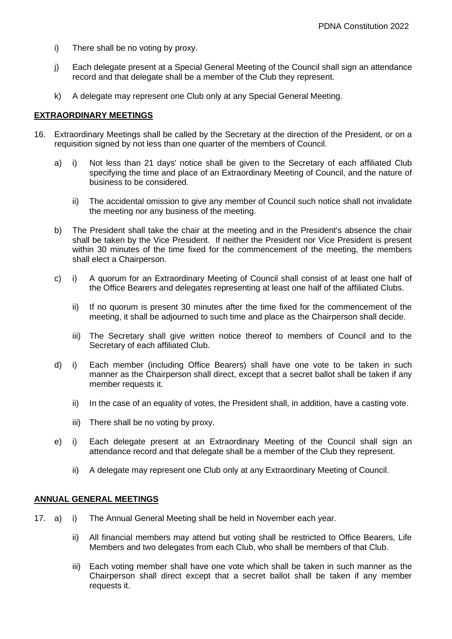- i) There shall be no voting by proxy.
- j) Each delegate present at a Special General Meeting of the Council shall sign an attendance record and that delegate shall be a member of the Club they represent.
- k) A delegate may represent one Club only at any Special General Meeting.

### **EXTRAORDINARY MEETINGS**

- 16. Extraordinary Meetings shall be called by the Secretary at the direction of the President, or on a requisition signed by not less than one quarter of the members of Council.
	- a) i) Not less than 21 days' notice shall be given to the Secretary of each affiliated Club specifying the time and place of an Extraordinary Meeting of Council, and the nature of business to be considered.
		- ii) The accidental omission to give any member of Council such notice shall not invalidate the meeting nor any business of the meeting.
	- b) The President shall take the chair at the meeting and in the President's absence the chair shall be taken by the Vice President. If neither the President nor Vice President is present within 30 minutes of the time fixed for the commencement of the meeting, the members shall elect a Chairperson.
	- c) i) A quorum for an Extraordinary Meeting of Council shall consist of at least one half of the Office Bearers and delegates representing at least one half of the affiliated Clubs.
		- ii) If no quorum is present 30 minutes after the time fixed for the commencement of the meeting, it shall be adjourned to such time and place as the Chairperson shall decide.
		- iii) The Secretary shall give written notice thereof to members of Council and to the Secretary of each affiliated Club.
	- d) i) Each member (including Office Bearers) shall have one vote to be taken in such manner as the Chairperson shall direct, except that a secret ballot shall be taken if any member requests it.
		- ii) In the case of an equality of votes, the President shall, in addition, have a casting vote.
		- iii) There shall be no voting by proxy.
	- e) i) Each delegate present at an Extraordinary Meeting of the Council shall sign an attendance record and that delegate shall be a member of the Club they represent.
		- ii) A delegate may represent one Club only at any Extraordinary Meeting of Council.

## **ANNUAL GENERAL MEETINGS**

- 17. a) i) The Annual General Meeting shall be held in November each year.
	- ii) All financial members may attend but voting shall be restricted to Office Bearers, Life Members and two delegates from each Club, who shall be members of that Club.
	- iii) Each voting member shall have one vote which shall be taken in such manner as the Chairperson shall direct except that a secret ballot shall be taken if any member requests it.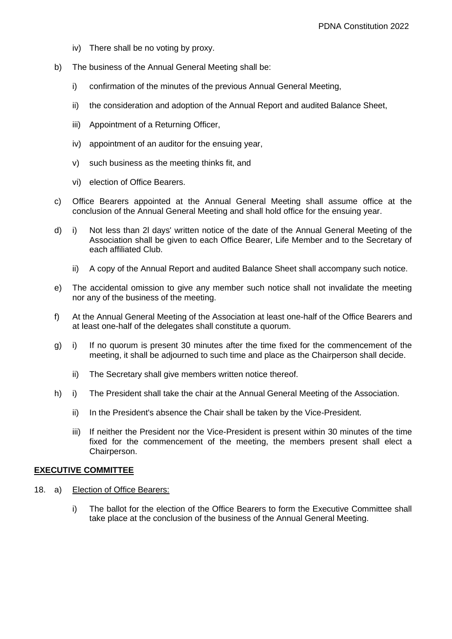- iv) There shall be no voting by proxy.
- b) The business of the Annual General Meeting shall be:
	- i) confirmation of the minutes of the previous Annual General Meeting,
	- ii) the consideration and adoption of the Annual Report and audited Balance Sheet,
	- iii) Appointment of a Returning Officer,
	- iv) appointment of an auditor for the ensuing year,
	- v) such business as the meeting thinks fit, and
	- vi) election of Office Bearers.
- c) Office Bearers appointed at the Annual General Meeting shall assume office at the conclusion of the Annual General Meeting and shall hold office for the ensuing year.
- d) i) Not less than 2l days' written notice of the date of the Annual General Meeting of the Association shall be given to each Office Bearer, Life Member and to the Secretary of each affiliated Club.
	- ii) A copy of the Annual Report and audited Balance Sheet shall accompany such notice.
- e) The accidental omission to give any member such notice shall not invalidate the meeting nor any of the business of the meeting.
- f) At the Annual General Meeting of the Association at least one-half of the Office Bearers and at least one-half of the delegates shall constitute a quorum.
- g) i) If no quorum is present 30 minutes after the time fixed for the commencement of the meeting, it shall be adjourned to such time and place as the Chairperson shall decide.
	- ii) The Secretary shall give members written notice thereof.
- h) i) The President shall take the chair at the Annual General Meeting of the Association.
	- ii) In the President's absence the Chair shall be taken by the Vice-President.
	- iii) If neither the President nor the Vice-President is present within 30 minutes of the time fixed for the commencement of the meeting, the members present shall elect a Chairperson.

#### **EXECUTIVE COMMITTEE**

- 18. a) Election of Office Bearers:
	- i) The ballot for the election of the Office Bearers to form the Executive Committee shall take place at the conclusion of the business of the Annual General Meeting.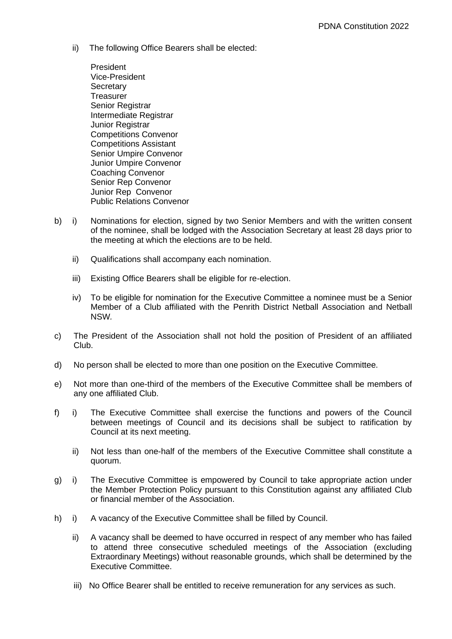ii) The following Office Bearers shall be elected:

President Vice-President **Secretary Treasurer** Senior Registrar Intermediate Registrar Junior Registrar Competitions Convenor Competitions Assistant Senior Umpire Convenor Junior Umpire Convenor Coaching Convenor Senior Rep Convenor Junior Rep Convenor Public Relations Convenor

- b) i) Nominations for election, signed by two Senior Members and with the written consent of the nominee, shall be lodged with the Association Secretary at least 28 days prior to the meeting at which the elections are to be held.
	- ii) Qualifications shall accompany each nomination.
	- iii) Existing Office Bearers shall be eligible for re-election.
	- iv) To be eligible for nomination for the Executive Committee a nominee must be a Senior Member of a Club affiliated with the Penrith District Netball Association and Netball NSW*.*
- c) The President of the Association shall not hold the position of President of an affiliated Club.
- d) No person shall be elected to more than one position on the Executive Committee.
- e) Not more than one-third of the members of the Executive Committee shall be members of any one affiliated Club.
- f) i) The Executive Committee shall exercise the functions and powers of the Council between meetings of Council and its decisions shall be subject to ratification by Council at its next meeting.
	- ii) Not less than one-half of the members of the Executive Committee shall constitute a quorum.
- g) i) The Executive Committee is empowered by Council to take appropriate action under the Member Protection Policy pursuant to this Constitution against any affiliated Club or financial member of the Association.
- h) i) A vacancy of the Executive Committee shall be filled by Council.
	- ii) A vacancy shall be deemed to have occurred in respect of any member who has failed to attend three consecutive scheduled meetings of the Association (excluding Extraordinary Meetings) without reasonable grounds, which shall be determined by the Executive Committee.
	- iii) No Office Bearer shall be entitled to receive remuneration for any services as such.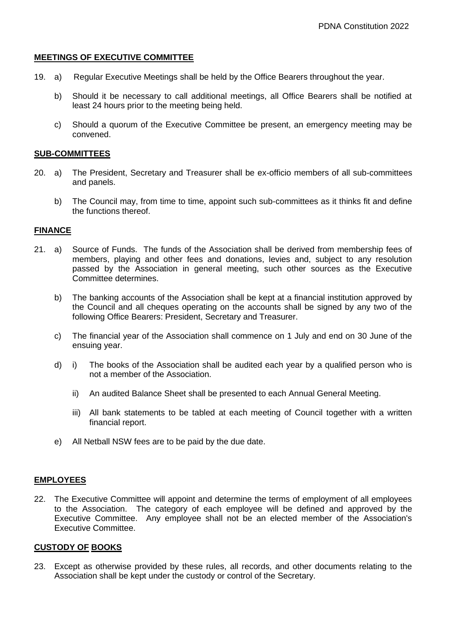## **MEETINGS OF EXECUTIVE COMMITTEE**

- 19. a) Regular Executive Meetings shall be held by the Office Bearers throughout the year.
	- b) Should it be necessary to call additional meetings, all Office Bearers shall be notified at least 24 hours prior to the meeting being held.
	- c) Should a quorum of the Executive Committee be present, an emergency meeting may be convened.

#### **SUB-COMMITTEES**

- 20. a) The President, Secretary and Treasurer shall be ex-officio members of all sub-committees and panels.
	- b) The Council may, from time to time, appoint such sub-committees as it thinks fit and define the functions thereof.

#### **FINANCE**

- 21. a) Source of Funds. The funds of the Association shall be derived from membership fees of members, playing and other fees and donations, levies and, subject to any resolution passed by the Association in general meeting, such other sources as the Executive Committee determines.
	- b) The banking accounts of the Association shall be kept at a financial institution approved by the Council and all cheques operating on the accounts shall be signed by any two of the following Office Bearers: President, Secretary and Treasurer.
	- c) The financial year of the Association shall commence on 1 July and end on 30 June of the ensuing year.
	- d) i) The books of the Association shall be audited each year by a qualified person who is not a member of the Association.
		- ii) An audited Balance Sheet shall be presented to each Annual General Meeting.
		- iii) All bank statements to be tabled at each meeting of Council together with a written financial report.
	- e) All Netball NSW fees are to be paid by the due date.

## **EMPLOYEES**

22. The Executive Committee will appoint and determine the terms of employment of all employees to the Association. The category of each employee will be defined and approved by the Executive Committee. Any employee shall not be an elected member of the Association's Executive Committee.

#### **CUSTODY OF BOOKS**

23. Except as otherwise provided by these rules, all records, and other documents relating to the Association shall be kept under the custody or control of the Secretary.